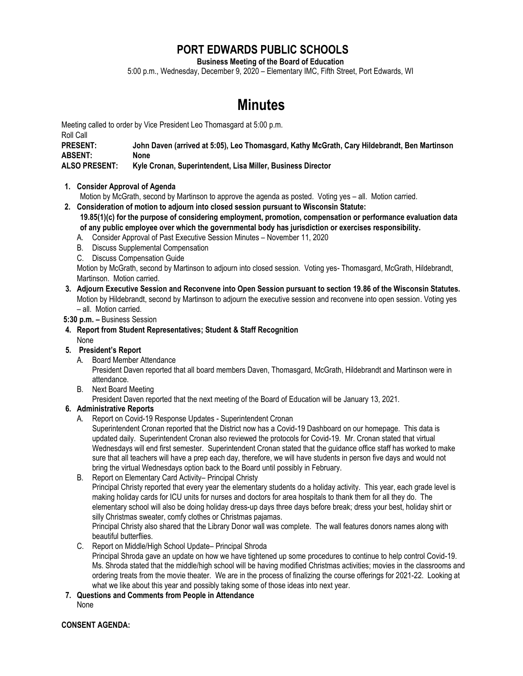# **PORT EDWARDS PUBLIC SCHOOLS**

**Business Meeting of the Board of Education**

5:00 p.m., Wednesday, December 9, 2020 – Elementary IMC, Fifth Street, Port Edwards, WI

# **Minutes**

Meeting called to order by Vice President Leo Thomasgard at 5:00 p.m. Roll Call **PRESENT: John Daven (arrived at 5:05), Leo Thomasgard, Kathy McGrath, Cary Hildebrandt, Ben Martinson ABSENT: None ALSO PRESENT: Kyle Cronan, Superintendent, Lisa Miller, Business Director**

- **1. Consider Approval of Agenda**
	- Motion by McGrath, second by Martinson to approve the agenda as posted. Voting yes all. Motion carried.
- **2. Consideration of motion to adjourn into closed session pursuant to Wisconsin Statute: 19.85(1)(c) for the purpose of considering employment, promotion, compensation or performance evaluation data of any public employee over which the governmental body has jurisdiction or exercises responsibility.**
	- A. Consider Approval of Past Executive Session Minutes November 11, 2020
	- B. Discuss Supplemental Compensation
	- C. Discuss Compensation Guide

Motion by McGrath, second by Martinson to adjourn into closed session. Voting yes- Thomasgard, McGrath, Hildebrandt, Martinson. Motion carried.

- **3. Adjourn Executive Session and Reconvene into Open Session pursuant to section 19.86 of the Wisconsin Statutes.** Motion by Hildebrandt, second by Martinson to adjourn the executive session and reconvene into open session. Voting yes – all. Motion carried.
- **5:30 p.m. –** Business Session
- **4. Report from Student Representatives; Student & Staff Recognition** None
- **5. President's Report**
	- A. Board Member Attendance

President Daven reported that all board members Daven, Thomasgard, McGrath, Hildebrandt and Martinson were in attendance.

B. Next Board Meeting

President Daven reported that the next meeting of the Board of Education will be January 13, 2021.

#### **6. Administrative Reports**

A. Report on Covid-19 Response Updates - Superintendent Cronan

Superintendent Cronan reported that the District now has a Covid-19 Dashboard on our homepage. This data is updated daily. Superintendent Cronan also reviewed the protocols for Covid-19. Mr. Cronan stated that virtual Wednesdays will end first semester. Superintendent Cronan stated that the guidance office staff has worked to make sure that all teachers will have a prep each day, therefore, we will have students in person five days and would not bring the virtual Wednesdays option back to the Board until possibly in February.

B. Report on Elementary Card Activity– Principal Christy

Principal Christy reported that every year the elementary students do a holiday activity. This year, each grade level is making holiday cards for ICU units for nurses and doctors for area hospitals to thank them for all they do. The elementary school will also be doing holiday dress-up days three days before break; dress your best, holiday shirt or silly Christmas sweater, comfy clothes or Christmas pajamas.

Principal Christy also shared that the Library Donor wall was complete. The wall features donors names along with beautiful butterflies.

C. Report on Middle/High School Update– Principal Shroda

Principal Shroda gave an update on how we have tightened up some procedures to continue to help control Covid-19. Ms. Shroda stated that the middle/high school will be having modified Christmas activities; movies in the classrooms and ordering treats from the movie theater. We are in the process of finalizing the course offerings for 2021-22. Looking at what we like about this year and possibly taking some of those ideas into next year.

**7. Questions and Comments from People in Attendance**

None

**CONSENT AGENDA:**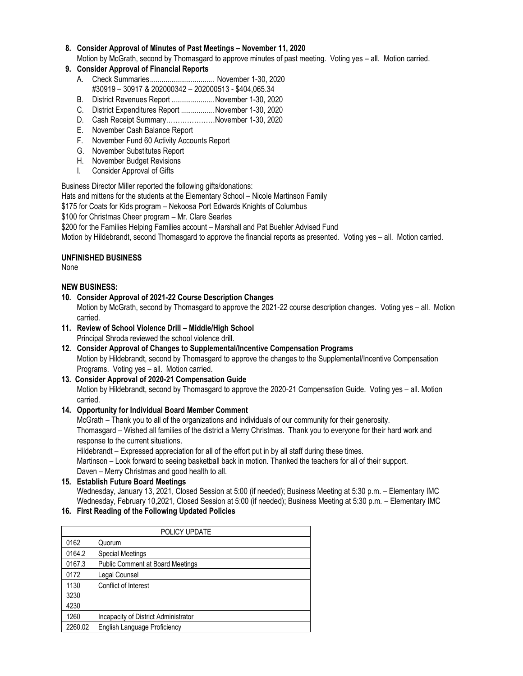### **8. Consider Approval of Minutes of Past Meetings – November 11, 2020**

Motion by McGrath, second by Thomasgard to approve minutes of past meeting. Voting yes – all. Motion carried.

- **9. Consider Approval of Financial Reports**
	- A. Check Summaries................................. November 1-30, 2020
	- #30919 30917 & 202000342 202000513 \$404,065.34
	- B. District Revenues Report ......................November 1-30, 2020
	- C. District Expenditures Report .................November 1-30, 2020
	- D. Cash Receipt Summary…………………November 1-30, 2020
	- E. November Cash Balance Report
	- F. November Fund 60 Activity Accounts Report
	- G. November Substitutes Report
	- H. November Budget Revisions
	- I. Consider Approval of Gifts

Business Director Miller reported the following gifts/donations:

Hats and mittens for the students at the Elementary School – Nicole Martinson Family

\$175 for Coats for Kids program – Nekoosa Port Edwards Knights of Columbus

\$100 for Christmas Cheer program – Mr. Clare Searles

\$200 for the Families Helping Families account – Marshall and Pat Buehler Advised Fund

Motion by Hildebrandt, second Thomasgard to approve the financial reports as presented. Voting yes – all. Motion carried.

#### **UNFINISHED BUSINESS**

None

## **NEW BUSINESS:**

**10. Consider Approval of 2021-22 Course Description Changes**

Motion by McGrath, second by Thomasgard to approve the 2021-22 course description changes. Voting yes – all. Motion carried.

- **11. Review of School Violence Drill – Middle/High School** Principal Shroda reviewed the school violence drill.
- **12. Consider Approval of Changes to Supplemental/Incentive Compensation Programs** Motion by Hildebrandt, second by Thomasgard to approve the changes to the Supplemental/Incentive Compensation Programs. Voting yes – all. Motion carried.

#### **13. Consider Approval of 2020-21 Compensation Guide** Motion by Hildebrandt, second by Thomasgard to approve the 2020-21 Compensation Guide. Voting yes – all. Motion carried.

# **14. Opportunity for Individual Board Member Comment**

McGrath – Thank you to all of the organizations and individuals of our community for their generosity. Thomasgard – Wished all families of the district a Merry Christmas. Thank you to everyone for their hard work and response to the current situations.

Hildebrandt – Expressed appreciation for all of the effort put in by all staff during these times.

Martinson – Look forward to seeing basketball back in motion. Thanked the teachers for all of their support. Daven – Merry Christmas and good health to all.

#### **15. Establish Future Board Meetings**

Wednesday, January 13, 2021, Closed Session at 5:00 (if needed); Business Meeting at 5:30 p.m. – Elementary IMC Wednesday, February 10,2021, Closed Session at 5:00 (if needed); Business Meeting at 5:30 p.m. – Elementary IMC

#### **16. First Reading of the Following Updated Policies**

| POLICY UPDATE |                                      |  |
|---------------|--------------------------------------|--|
| 0162          | Quorum                               |  |
| 0164.2        | <b>Special Meetings</b>              |  |
| 0167.3        | Public Comment at Board Meetings     |  |
| 0172          | Legal Counsel                        |  |
| 1130          | Conflict of Interest                 |  |
| 3230          |                                      |  |
| 4230          |                                      |  |
| 1260          | Incapacity of District Administrator |  |
| 2260.02       | English Language Proficiency         |  |